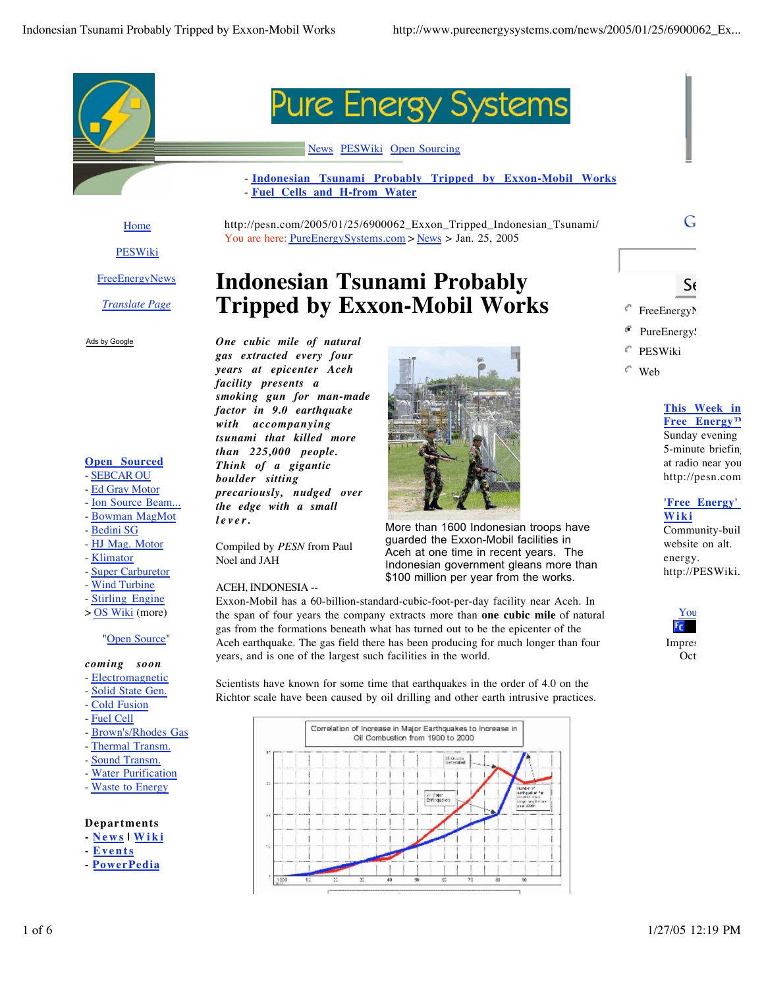

Home PESWiki

**FreeEnergyNews** 

*Translate Page*

Ads by Google



#### News PESWiki Open Sourcing

- **Indonesian Tsunami Probably Tripped by Exxon-Mobil Works** - **Fuel Cells and H-from Water**

http://pesn.com/2005/01/25/6900062\_Exxon\_Tripped\_Indonesian\_Tsunami/ You are here: PureEnergySystems.com > News > Jan. 25, 2005

# **Indonesian Tsunami Probably Tripped by Exxon-Mobil Works**

*One cubic mile of natural gas extracted every four years at epicenter Aceh facility presents a smoking gun for man-made factor in 9.0 earthquake with accompanying tsunami that killed more than 225,000 people. Think of a gigantic boulder sitting precariously, nudged over the edge with a small lever.*

Compiled by *PESN* from Paul

Noel and JAH

ACEH, INDONESIA --



More than 1600 Indonesian troops have guarded the Exxon-Mobil facilities in Aceh at one time in recent years. The Indonesian government gleans more than \$100 million per year from the works.

Exxon-Mobil has a 60-billion-standard-cubic-foot-per-day facility near Aceh. In the span of four years the company extracts more than **one cubic mile** of natural gas from the formations beneath what has turned out to be the epicenter of the Aceh earthquake. The gas field there has been producing for much longer than four years, and is one of the largest such facilities in the world.

Scientists have known for some time that earthquakes in the order of 4.0 on the Richtor scale have been caused by oil drilling and other earth intrusive practices.



 $S_{\ell}$ 

G

- FreeEnergyN
- PureEnergy!
- PESWiki
- Web

### **This Week in Free Energy™** Sunday evening 5-minute briefing

at radio near you. http://pesn.com

#### **'Free Energy' Wiki**

Community-buil website on alt. energy. http://PESWiki.

#### You  $F_{C}$ Impres Oct.

Stirling Engine > OS Wiki (more)

**Super Carburetor** - Wind Turbine

**Open Sourced** - SEBCAR OU - Ed Gray Motor - Ion Source Beam... - Bowman MagMot - Bedini SG - HJ Mag. Motor - Klimator

"Open Source"

#### *coming soon*

- Electromagnetic
- Solid State Gen.
- Cold Fusion
- Fuel Cell
- Brown's/Rhodes Gas
- Thermal Transm.
- Sound Transm.
- **Water Purification**
- Waste to Energy

#### **Departments**

- **News | Wiki**
- **Events**
- **PowerPedia**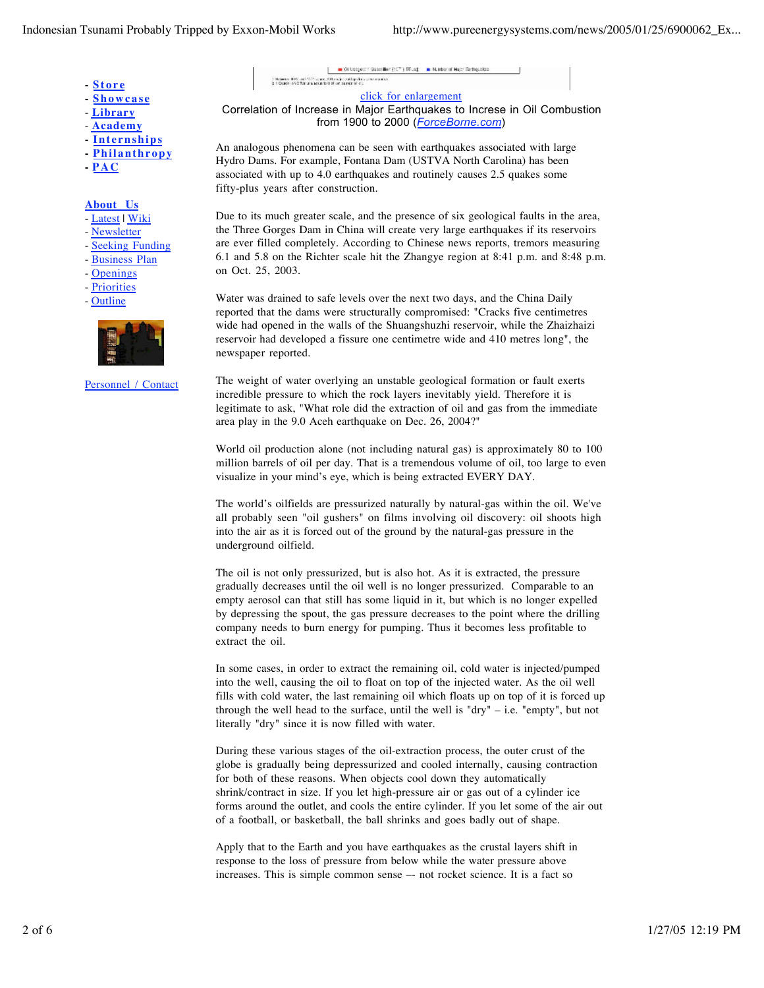- **Store**
- **Showcase**
- **Library**
- **Academy**
- **Internships**
- **Philanthropy**
- **PAC**

#### **About Us**

- Latest | Wiki
- Newsletter
- Seeking Funding
- Business Plan
- Openings
- Priorities
- Outline



Personnel / Contact

click for enlargement Correlation of Increase in Major Earthquakes to Increse in Oil Combustion from 1900 to 2000 (*ForceBorne.com*)

 $\blacksquare$  Of Ltdgest 1 Guaeriker (10  $^{\circ}$  ) BTLsd  $\blacksquare$  . Number of Macri Earthquakes

.<br>21 General 1977 and 1977 structure follow in conting shows a series and st<br>21 General Systems in a new to 0 structure and class

An analogous phenomena can be seen with earthquakes associated with large Hydro Dams. For example, Fontana Dam (USTVA North Carolina) has been associated with up to 4.0 earthquakes and routinely causes 2.5 quakes some fifty-plus years after construction.

Due to its much greater scale, and the presence of six geological faults in the area, the Three Gorges Dam in China will create very large earthquakes if its reservoirs are ever filled completely. According to Chinese news reports, tremors measuring 6.1 and 5.8 on the Richter scale hit the Zhangye region at 8:41 p.m. and 8:48 p.m. on Oct. 25, 2003.

Water was drained to safe levels over the next two days, and the China Daily reported that the dams were structurally compromised: "Cracks five centimetres wide had opened in the walls of the Shuangshuzhi reservoir, while the Zhaizhaizi reservoir had developed a fissure one centimetre wide and 410 metres long", the newspaper reported.

The weight of water overlying an unstable geological formation or fault exerts incredible pressure to which the rock layers inevitably yield. Therefore it is legitimate to ask, "What role did the extraction of oil and gas from the immediate area play in the 9.0 Aceh earthquake on Dec. 26, 2004?"

World oil production alone (not including natural gas) is approximately 80 to 100 million barrels of oil per day. That is a tremendous volume of oil, too large to even visualize in your mind's eye, which is being extracted EVERY DAY.

The world's oilfields are pressurized naturally by natural-gas within the oil. We've all probably seen "oil gushers" on films involving oil discovery: oil shoots high into the air as it is forced out of the ground by the natural-gas pressure in the underground oilfield.

The oil is not only pressurized, but is also hot. As it is extracted, the pressure gradually decreases until the oil well is no longer pressurized. Comparable to an empty aerosol can that still has some liquid in it, but which is no longer expelled by depressing the spout, the gas pressure decreases to the point where the drilling company needs to burn energy for pumping. Thus it becomes less profitable to extract the oil.

In some cases, in order to extract the remaining oil, cold water is injected/pumped into the well, causing the oil to float on top of the injected water. As the oil well fills with cold water, the last remaining oil which floats up on top of it is forced up through the well head to the surface, until the well is "dry" – i.e. "empty", but not literally "dry" since it is now filled with water.

During these various stages of the oil-extraction process, the outer crust of the globe is gradually being depressurized and cooled internally, causing contraction for both of these reasons. When objects cool down they automatically shrink/contract in size. If you let high-pressure air or gas out of a cylinder ice forms around the outlet, and cools the entire cylinder. If you let some of the air out of a football, or basketball, the ball shrinks and goes badly out of shape.

Apply that to the Earth and you have earthquakes as the crustal layers shift in response to the loss of pressure from below while the water pressure above increases. This is simple common sense –- not rocket science. It is a fact so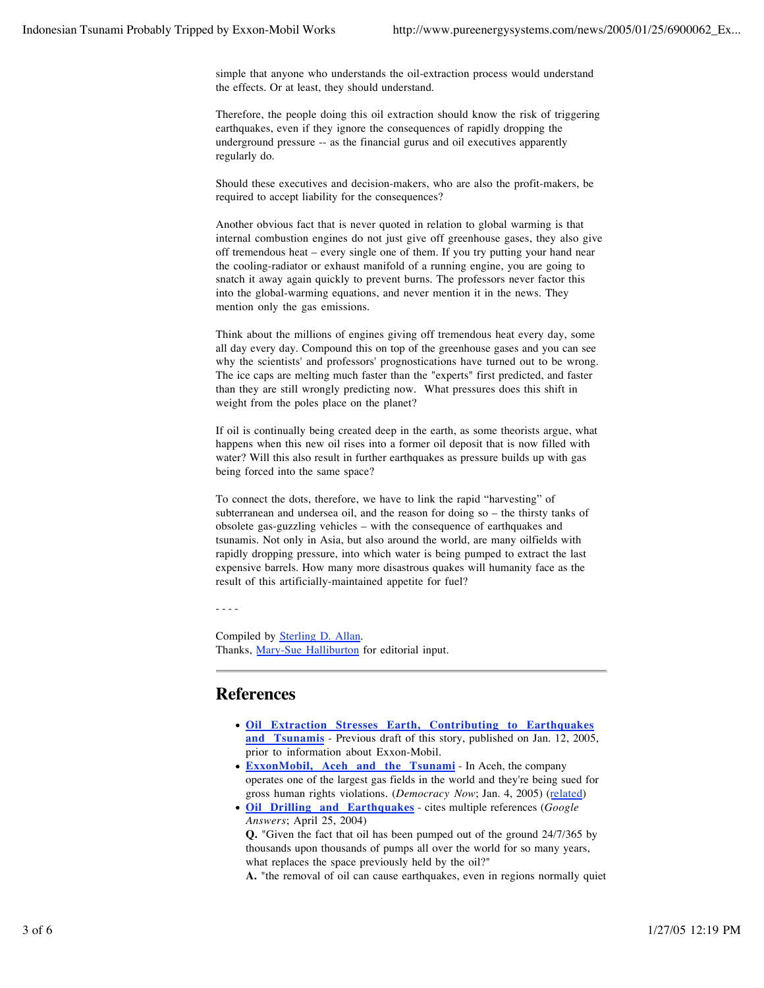simple that anyone who understands the oil-extraction process would understand the effects. Or at least, they should understand.

Therefore, the people doing this oil extraction should know the risk of triggering earthquakes, even if they ignore the consequences of rapidly dropping the underground pressure -- as the financial gurus and oil executives apparently regularly do.

Should these executives and decision-makers, who are also the profit-makers, be required to accept liability for the consequences?

Another obvious fact that is never quoted in relation to global warming is that internal combustion engines do not just give off greenhouse gases, they also give off tremendous heat – every single one of them. If you try putting your hand near the cooling-radiator or exhaust manifold of a running engine, you are going to snatch it away again quickly to prevent burns. The professors never factor this into the global-warming equations, and never mention it in the news. They mention only the gas emissions.

Think about the millions of engines giving off tremendous heat every day, some all day every day. Compound this on top of the greenhouse gases and you can see why the scientists' and professors' prognostications have turned out to be wrong. The ice caps are melting much faster than the "experts" first predicted, and faster than they are still wrongly predicting now. What pressures does this shift in weight from the poles place on the planet?

If oil is continually being created deep in the earth, as some theorists argue, what happens when this new oil rises into a former oil deposit that is now filled with water? Will this also result in further earthquakes as pressure builds up with gas being forced into the same space?

To connect the dots, therefore, we have to link the rapid "harvesting" of subterranean and undersea oil, and the reason for doing so – the thirsty tanks of obsolete gas-guzzling vehicles – with the consequence of earthquakes and tsunamis. Not only in Asia, but also around the world, are many oilfields with rapidly dropping pressure, into which water is being pumped to extract the last expensive barrels. How many more disastrous quakes will humanity face as the result of this artificially-maintained appetite for fuel?

- - - -

Compiled by Sterling D. Allan. Thanks, Mary-Sue Halliburton for editorial input.

## **References**

- **Oil Extraction Stresses Earth, Contributing to Earthquakes and Tsunamis** - Previous draft of this story, published on Jan. 12, 2005, prior to information about Exxon-Mobil.
- **ExxonMobil, Aceh and the Tsunami** In Aceh, the company operates one of the largest gas fields in the world and they're being sued for gross human rights violations. (*Democracy Now*; Jan. 4, 2005) (related)
- **Oil Drilling and Earthquakes** cites multiple references (*Google Answers*; April 25, 2004)

**Q.** "Given the fact that oil has been pumped out of the ground 24/7/365 by thousands upon thousands of pumps all over the world for so many years, what replaces the space previously held by the oil?"

**A.** "the removal of oil can cause earthquakes, even in regions normally quiet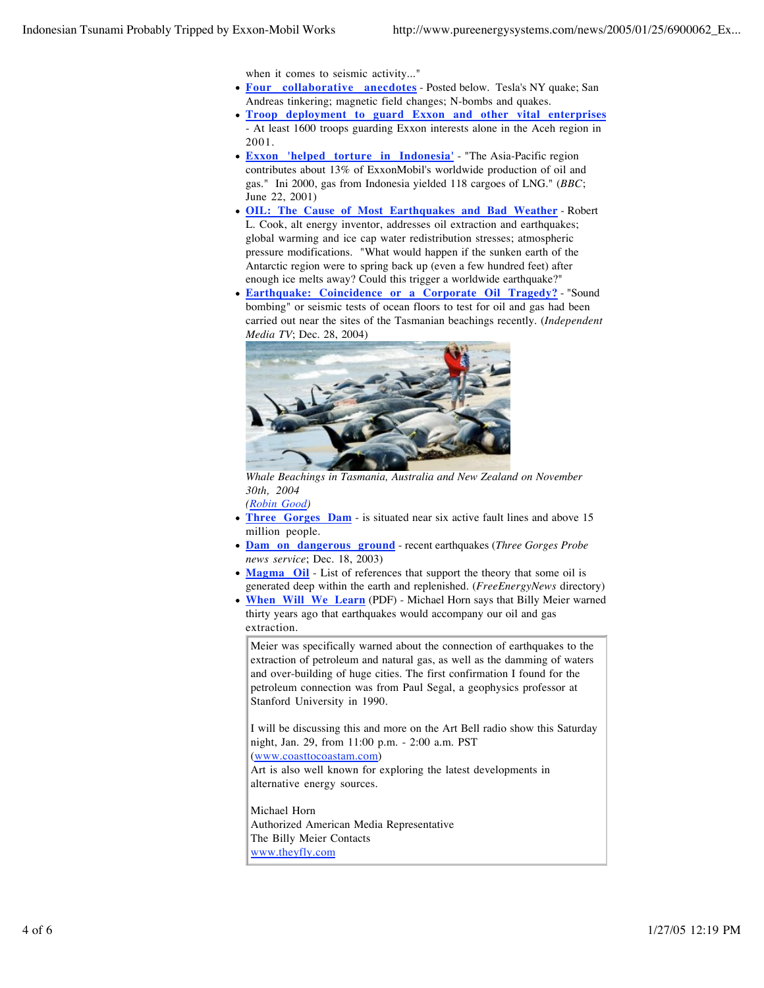when it comes to seismic activity..."

- **Four collaborative anecdotes** Posted below. Tesla's NY quake; San Andreas tinkering; magnetic field changes; N-bombs and quakes.
- **Troop deployment to guard Exxon and other vital enterprises** At least 1600 troops guarding Exxon interests alone in the Aceh region in 2001.
- **Exxon 'helped torture in Indonesia'** "The Asia-Pacific region contributes about 13% of ExxonMobil's worldwide production of oil and gas." Ini 2000, gas from Indonesia yielded 118 cargoes of LNG." (*BBC*; June 22, 2001)
- **OIL: The Cause of Most Earthquakes and Bad Weather** Robert L. Cook, alt energy inventor, addresses oil extraction and earthquakes; global warming and ice cap water redistribution stresses; atmospheric pressure modifications. "What would happen if the sunken earth of the Antarctic region were to spring back up (even a few hundred feet) after enough ice melts away? Could this trigger a worldwide earthquake?"
- **Earthquake: Coincidence or a Corporate Oil Tragedy?** "Sound bombing" or seismic tests of ocean floors to test for oil and gas had been carried out near the sites of the Tasmanian beachings recently. (*Independent Media TV*; Dec. 28, 2004)



*Whale Beachings in Tasmania, Australia and New Zealand on November 30th, 2004*

*(Robin Good)*

- **Three Gorges Dam** is situated near six active fault lines and above 15 million people.
- **Dam on dangerous ground** recent earthquakes (*Three Gorges Probe news service*; Dec. 18, 2003)
- **Magma** Oil List of references that support the theory that some oil is generated deep within the earth and replenished. (*FreeEnergyNews* directory)
- **When Will We Learn** (PDF) Michael Horn says that Billy Meier warned thirty years ago that earthquakes would accompany our oil and gas extraction.

Meier was specifically warned about the connection of earthquakes to the extraction of petroleum and natural gas, as well as the damming of waters and over-building of huge cities. The first confirmation I found for the petroleum connection was from Paul Segal, a geophysics professor at Stanford University in 1990.

I will be discussing this and more on the Art Bell radio show this Saturday night, Jan. 29, from 11:00 p.m. - 2:00 a.m. PST

(www.coasttocoastam.com)

Art is also well known for exploring the latest developments in alternative energy sources.

Michael Horn Authorized American Media Representative The Billy Meier Contacts www.theyfly.com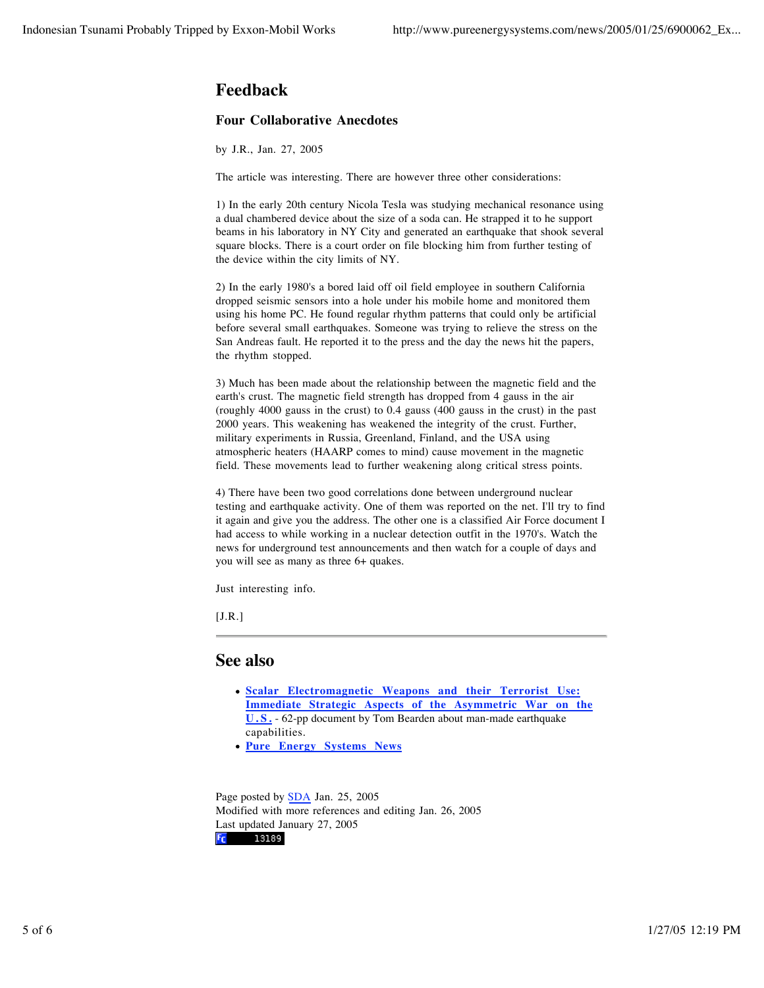# **Feedback**

#### **Four Collaborative Anecdotes**

by J.R., Jan. 27, 2005

The article was interesting. There are however three other considerations:

1) In the early 20th century Nicola Tesla was studying mechanical resonance using a dual chambered device about the size of a soda can. He strapped it to he support beams in his laboratory in NY City and generated an earthquake that shook several square blocks. There is a court order on file blocking him from further testing of the device within the city limits of NY.

2) In the early 1980's a bored laid off oil field employee in southern California dropped seismic sensors into a hole under his mobile home and monitored them using his home PC. He found regular rhythm patterns that could only be artificial before several small earthquakes. Someone was trying to relieve the stress on the San Andreas fault. He reported it to the press and the day the news hit the papers, the rhythm stopped.

3) Much has been made about the relationship between the magnetic field and the earth's crust. The magnetic field strength has dropped from 4 gauss in the air (roughly 4000 gauss in the crust) to 0.4 gauss (400 gauss in the crust) in the past 2000 years. This weakening has weakened the integrity of the crust. Further, military experiments in Russia, Greenland, Finland, and the USA using atmospheric heaters (HAARP comes to mind) cause movement in the magnetic field. These movements lead to further weakening along critical stress points.

4) There have been two good correlations done between underground nuclear testing and earthquake activity. One of them was reported on the net. I'll try to find it again and give you the address. The other one is a classified Air Force document I had access to while working in a nuclear detection outfit in the 1970's. Watch the news for underground test announcements and then watch for a couple of days and you will see as many as three 6+ quakes.

Just interesting info.

 $[J.R.]$ 

#### **See also**

- **Scalar Electromagnetic Weapons and their Terrorist Use: Immediate Strategic Aspects of the Asymmetric War on the U.S.** - 62-pp document by Tom Bearden about man-made earthquake capabilities.
- **Pure Energy Systems News**

Page posted by **SDA** Jan. 25, 2005 Modified with more references and editing Jan. 26, 2005 Last updated January 27, 2005**Fc** 13189